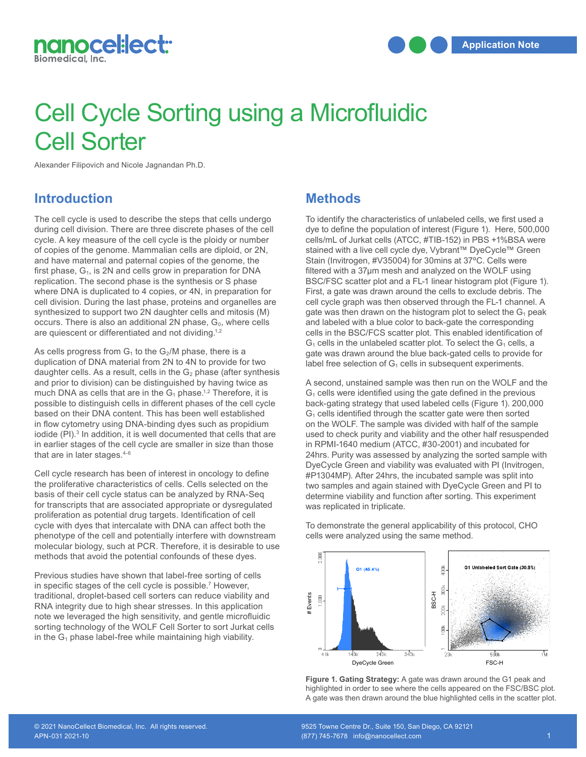

# Cell Cycle Sorting using a Microfluidic Cell Sorter

Alexander Filipovich and Nicole Jagnandan Ph.D.

### **Introduction**

The cell cycle is used to describe the steps that cells undergo during cell division. There are three discrete phases of the cell cycle. A key measure of the cell cycle is the ploidy or number of copies of the genome. Mammalian cells are diploid, or 2N, and have maternal and paternal copies of the genome, the first phase,  $G_1$ , is 2N and cells grow in preparation for DNA replication. The second phase is the synthesis or S phase where DNA is duplicated to 4 copies, or 4N, in preparation for cell division. During the last phase, proteins and organelles are synthesized to support two 2N daughter cells and mitosis (M) occurs. There is also an additional 2N phase,  $G_0$ , where cells are quiescent or differentiated and not dividing.<sup>1,2</sup>

As cells progress from  $G_1$  to the  $G_2/M$  phase, there is a duplication of DNA material from 2N to 4N to provide for two daughter cells. As a result, cells in the  $G_2$  phase (after synthesis and prior to division) can be distinguished by having twice as much DNA as cells that are in the  $G_1$  phase.<sup>1,2</sup> Therefore, it is possible to distinguish cells in different phases of the cell cycle based on their DNA content. This has been well established in flow cytometry using DNA-binding dyes such as propidium iodide (PI).<sup>3</sup> In addition, it is well documented that cells that are in earlier stages of the cell cycle are smaller in size than those that are in later stages.4-6

Cell cycle research has been of interest in oncology to define the proliferative characteristics of cells. Cells selected on the basis of their cell cycle status can be analyzed by RNA-Seq for transcripts that are associated appropriate or dysregulated proliferation as potential drug targets. Identification of cell cycle with dyes that intercalate with DNA can affect both the phenotype of the cell and potentially interfere with downstream molecular biology, such at PCR. Therefore, it is desirable to use methods that avoid the potential confounds of these dyes.

Previous studies have shown that label-free sorting of cells in specific stages of the cell cycle is possible.<sup>7</sup> However, traditional, droplet-based cell sorters can reduce viability and RNA integrity due to high shear stresses. In this application note we leveraged the high sensitivity, and gentle microfluidic sorting technology of the WOLF Cell Sorter to sort Jurkat cells in the  $G_1$  phase label-free while maintaining high viability.

#### **Methods**

To identify the characteristics of unlabeled cells, we first used a dye to define the population of interest (Figure 1). Here, 500,000 cells/mL of Jurkat cells (ATCC, #TIB-152) in PBS +1%BSA were stained with a live cell cycle dye, Vybrant™ DyeCycle™ Green Stain (Invitrogen, #V35004) for 30mins at 37ºC. Cells were filtered with a 37µm mesh and analyzed on the WOLF using BSC/FSC scatter plot and a FL-1 linear histogram plot (Figure 1). First, a gate was drawn around the cells to exclude debris. The cell cycle graph was then observed through the FL-1 channel. A gate was then drawn on the histogram plot to select the  $G_1$  peak and labeled with a blue color to back-gate the corresponding cells in the BSC/FCS scatter plot. This enabled identification of  $G_1$  cells in the unlabeled scatter plot. To select the  $G_1$  cells, a gate was drawn around the blue back-gated cells to provide for label free selection of  $G_1$  cells in subsequent experiments.

A second, unstained sample was then run on the WOLF and the  $G_1$  cells were identified using the gate defined in the previous back-gating strategy that used labeled cells (Figure 1). 200,000  $G<sub>1</sub>$  cells identified through the scatter gate were then sorted on the WOLF. The sample was divided with half of the sample used to check purity and viability and the other half resuspended in RPMI-1640 medium (ATCC, #30-2001) and incubated for 24hrs. Purity was assessed by analyzing the sorted sample with DyeCycle Green and viability was evaluated with PI (Invitrogen, #P1304MP). After 24hrs, the incubated sample was split into two samples and again stained with DyeCycle Green and PI to determine viability and function after sorting. This experiment was replicated in triplicate.

To demonstrate the general applicability of this protocol, CHO cells were analyzed using the same method.



**Figure 1. Gating Strategy:** A gate was drawn around the G1 peak and highlighted in order to see where the cells appeared on the FSC/BSC plot. A gate was then drawn around the blue highlighted cells in the scatter plot.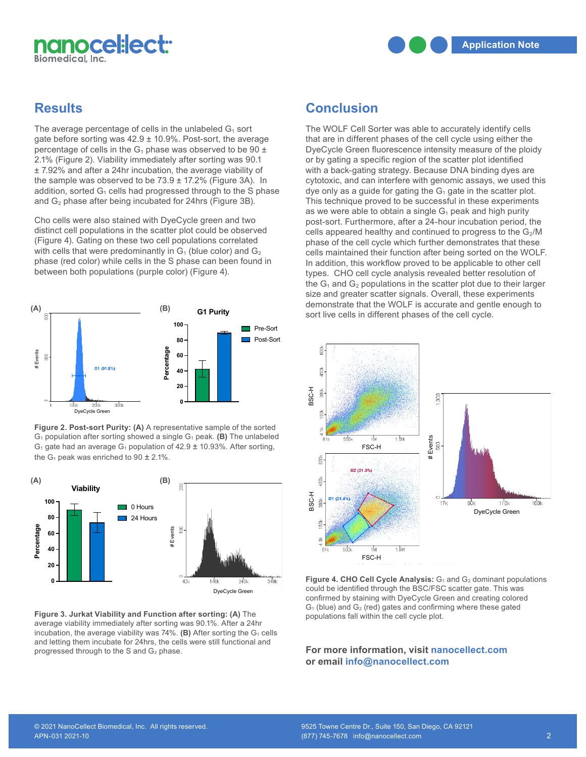



#### **Results**

The average percentage of cells in the unlabeled  $G_1$  sort gate before sorting was  $42.9 \pm 10.9\%$ . Post-sort, the average percentage of cells in the  $G_1$  phase was observed to be 90  $\pm$ 2.1% (Figure 2). Viability immediately after sorting was 90.1 ± 7.92% and after a 24hr incubation, the average viability of the sample was observed to be  $73.9 \pm 17.2\%$  (Figure 3A). In addition, sorted  $G_1$  cells had progressed through to the S phase and G2 phase after being incubated for 24hrs (Figure 3B).

Cho cells were also stained with DyeCycle green and two distinct cell populations in the scatter plot could be observed (Figure 4). Gating on these two cell populations correlated with cells that were predominantly in  $G_1$  (blue color) and  $G_2$ phase (red color) while cells in the S phase can been found in between both populations (purple color) (Figure 4).



**Figure 2. Post-sort Purity: (A)** A representative sample of the sorted G1 population after sorting showed a single G1 peak. **(B)** The unlabeled G<sub>1</sub> gate had an average G<sub>1</sub> population of  $42.9 \pm 10.93\%$ . After sorting, the  $G_1$  peak was enriched to 90  $\pm$  2.1%.



**Figure 3. Jurkat Viability and Function after sorting: (A)** The average viability immediately after sorting was 90.1%. After a 24hr incubation, the average viability was  $74\%$ . **(B)** After sorting the  $G_1$  cells and letting them incubate for 24hrs, the cells were still functional and progressed through to the S and G<sub>2</sub> phase.<br> **24 Hours** 

## **Conclusion**

The WOLF Cell Sorter was able to accurately identify cells that are in different phases of the cell cycle using either the DyeCycle Green fluorescence intensity measure of the ploidy or by gating a specific region of the scatter plot identified with a back-gating strategy. Because DNA binding dyes are cytotoxic, and can interfere with genomic assays, we used this dye only as a guide for gating the  $G_1$  gate in the scatter plot. This technique proved to be successful in these experiments as we were able to obtain a single  $G_1$  peak and high purity post-sort. Furthermore, after a 24-hour incubation period, the cells appeared healthy and continued to progress to the  $G<sub>2</sub>/M$ phase of the cell cycle which further demonstrates that these cells maintained their function after being sorted on the WOLF. In addition, this workflow proved to be applicable to other cell types. CHO cell cycle analysis revealed better resolution of the  $G_1$  and  $G_2$  populations in the scatter plot due to their larger size and greater scatter signals. Overall, these experiments demonstrate that the WOLF is accurate and gentle enough to sort live cells in different phases of the cell cycle.



Figure 4. CHO Cell Cycle Analysis: G<sub>1</sub> and G<sub>2</sub> dominant populations could be identified through the BSC/FSC scatter gate. This was confirmed by staining with DyeCycle Green and creating colored  $G_1$  (blue) and  $G_2$  (red) gates and confirming where these gated populations fall within the cell cycle plot.

**For more information, visit [nanocellect.com](https://nanocellect.com/) or email [info@nanocellect.com](mailto:info%40nanocellect.com?subject=)**